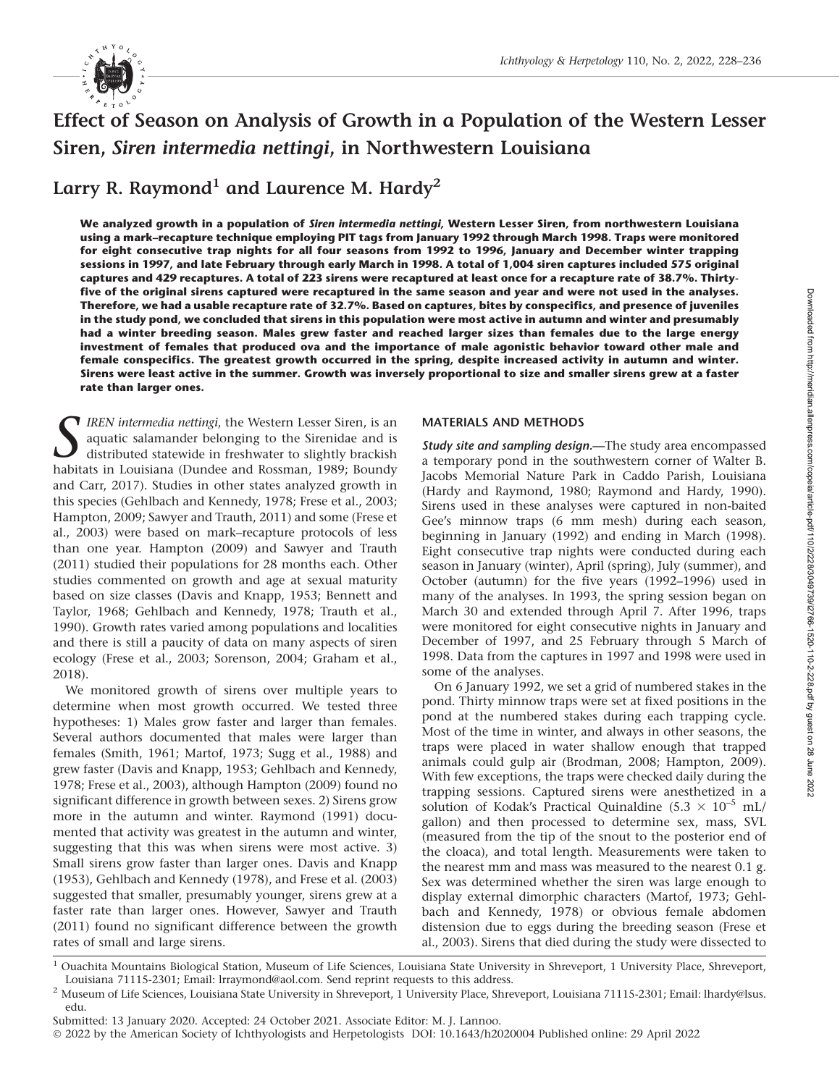

# Effect of Season on Analysis of Growth in a Population of the Western Lesser Siren, Siren intermedia nettingi, in Northwestern Louisiana

Larry R. Raymond<sup>1</sup> and Laurence M. Hardy<sup>2</sup>

We analyzed growth in a population of Siren intermedia nettingi, Western Lesser Siren, from northwestern Louisiana using a mark–recapture technique employing PIT tags from January 1992 through March 1998. Traps were monitored for eight consecutive trap nights for all four seasons from 1992 to 1996, January and December winter trapping sessions in 1997, and late February through early March in 1998. A total of 1,004 siren captures included 575 original captures and 429 recaptures. A total of 223 sirens were recaptured at least once for a recapture rate of 38.7%. Thirtyfive of the original sirens captured were recaptured in the same season and year and were not used in the analyses. Therefore, we had a usable recapture rate of 32.7%. Based on captures, bites by conspecifics, and presence of juveniles in the study pond, we concluded that sirens in this population were most active in autumn and winter and presumably had a winter breeding season. Males grew faster and reached larger sizes than females due to the large energy investment of females that produced ova and the importance of male agonistic behavior toward other male and female conspecifics. The greatest growth occurred in the spring, despite increased activity in autumn and winter. Sirens were least active in the summer. Growth was inversely proportional to size and smaller sirens grew at a faster rate than larger ones.

**T** IREN intermedia nettingi, the Western Lesser Siren, is an aquatic salamander belonging to the Sirenidae and is distributed statewide in freshwater to slightly brackish habitats in Louisiana (Dundee and Rossman, 1989; Boundy and Carr, 2017). Studies in other states analyzed growth in this species (Gehlbach and Kennedy, 1978; Frese et al., 2003; Hampton, 2009; Sawyer and Trauth, 2011) and some (Frese et al., 2003) were based on mark–recapture protocols of less than one year. Hampton (2009) and Sawyer and Trauth (2011) studied their populations for 28 months each. Other studies commented on growth and age at sexual maturity based on size classes (Davis and Knapp, 1953; Bennett and Taylor, 1968; Gehlbach and Kennedy, 1978; Trauth et al., 1990). Growth rates varied among populations and localities and there is still a paucity of data on many aspects of siren ecology (Frese et al., 2003; Sorenson, 2004; Graham et al., 2018).

We monitored growth of sirens over multiple years to determine when most growth occurred. We tested three hypotheses: 1) Males grow faster and larger than females. Several authors documented that males were larger than females (Smith, 1961; Martof, 1973; Sugg et al., 1988) and grew faster (Davis and Knapp, 1953; Gehlbach and Kennedy, 1978; Frese et al., 2003), although Hampton (2009) found no significant difference in growth between sexes. 2) Sirens grow more in the autumn and winter. Raymond (1991) documented that activity was greatest in the autumn and winter, suggesting that this was when sirens were most active. 3) Small sirens grow faster than larger ones. Davis and Knapp (1953), Gehlbach and Kennedy (1978), and Frese et al. (2003) suggested that smaller, presumably younger, sirens grew at a faster rate than larger ones. However, Sawyer and Trauth (2011) found no significant difference between the growth rates of small and large sirens.

# MATERIALS AND METHODS

Study site and sampling design.-The study area encompassed a temporary pond in the southwestern corner of Walter B. Jacobs Memorial Nature Park in Caddo Parish, Louisiana (Hardy and Raymond, 1980; Raymond and Hardy, 1990). Sirens used in these analyses were captured in non-baited Gee's minnow traps (6 mm mesh) during each season, beginning in January (1992) and ending in March (1998). Eight consecutive trap nights were conducted during each season in January (winter), April (spring), July (summer), and October (autumn) for the five years (1992–1996) used in many of the analyses. In 1993, the spring session began on March 30 and extended through April 7. After 1996, traps were monitored for eight consecutive nights in January and December of 1997, and 25 February through 5 March of 1998. Data from the captures in 1997 and 1998 were used in some of the analyses.

On 6 January 1992, we set a grid of numbered stakes in the pond. Thirty minnow traps were set at fixed positions in the pond at the numbered stakes during each trapping cycle. Most of the time in winter, and always in other seasons, the traps were placed in water shallow enough that trapped animals could gulp air (Brodman, 2008; Hampton, 2009). With few exceptions, the traps were checked daily during the trapping sessions. Captured sirens were anesthetized in a solution of Kodak's Practical Quinaldine (5.3  $\times$  10<sup>-5</sup> mL/ gallon) and then processed to determine sex, mass, SVL (measured from the tip of the snout to the posterior end of the cloaca), and total length. Measurements were taken to the nearest mm and mass was measured to the nearest 0.1 g. Sex was determined whether the siren was large enough to display external dimorphic characters (Martof, 1973; Gehlbach and Kennedy, 1978) or obvious female abdomen distension due to eggs during the breeding season (Frese et al., 2003). Sirens that died during the study were dissected to

<sup>&</sup>lt;sup>1</sup> Ouachita Mountains Biological Station, Museum of Life Sciences, Louisiana State University in Shreveport, 1 University Place, Shreveport, Louisiana 71115-2301; Email: lrraymond@aol.com. Send reprint requests to this address.

<sup>&</sup>lt;sup>2</sup> Museum of Life Sciences, Louisiana State University in Shreveport, 1 University Place, Shreveport, Louisiana 71115-2301; Email: lhardy@lsus. edu.

Submitted: 13 January 2020. Accepted: 24 October 2021. Associate Editor: M. J. Lannoo.

<sup>© 2022</sup> by the American Society of Ichthyologists and Herpetologists DOI: 10.1643/h2020004 Published online: 29 April 2022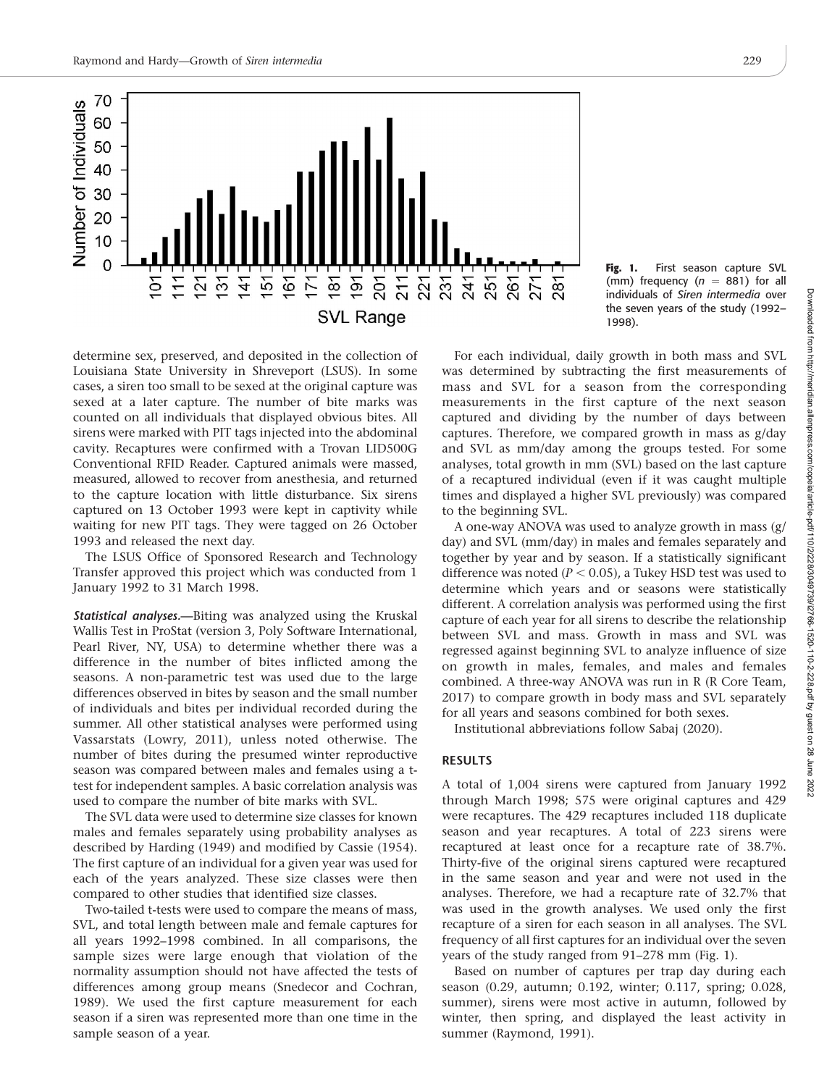

determine sex, preserved, and deposited in the collection of Louisiana State University in Shreveport (LSUS). In some cases, a siren too small to be sexed at the original capture was sexed at a later capture. The number of bite marks was counted on all individuals that displayed obvious bites. All sirens were marked with PIT tags injected into the abdominal cavity. Recaptures were confirmed with a Trovan LID500G Conventional RFID Reader. Captured animals were massed, measured, allowed to recover from anesthesia, and returned to the capture location with little disturbance. Six sirens captured on 13 October 1993 were kept in captivity while waiting for new PIT tags. They were tagged on 26 October 1993 and released the next day.

The LSUS Office of Sponsored Research and Technology Transfer approved this project which was conducted from 1 January 1992 to 31 March 1998.

Statistical analyses.—Biting was analyzed using the Kruskal Wallis Test in ProStat (version 3, Poly Software International, Pearl River, NY, USA) to determine whether there was a difference in the number of bites inflicted among the seasons. A non-parametric test was used due to the large differences observed in bites by season and the small number of individuals and bites per individual recorded during the summer. All other statistical analyses were performed using Vassarstats (Lowry, 2011), unless noted otherwise. The number of bites during the presumed winter reproductive season was compared between males and females using a ttest for independent samples. A basic correlation analysis was used to compare the number of bite marks with SVL.

The SVL data were used to determine size classes for known males and females separately using probability analyses as described by Harding (1949) and modified by Cassie (1954). The first capture of an individual for a given year was used for each of the years analyzed. These size classes were then compared to other studies that identified size classes.

Two-tailed t-tests were used to compare the means of mass, SVL, and total length between male and female captures for all years 1992–1998 combined. In all comparisons, the sample sizes were large enough that violation of the normality assumption should not have affected the tests of differences among group means (Snedecor and Cochran, 1989). We used the first capture measurement for each season if a siren was represented more than one time in the sample season of a year.

Fig. 1. First season capture SVL (mm) frequency ( $n = 881$ ) for all individuals of Siren intermedia over the seven years of the study (1992– 1998).

For each individual, daily growth in both mass and SVL was determined by subtracting the first measurements of mass and SVL for a season from the corresponding measurements in the first capture of the next season captured and dividing by the number of days between captures. Therefore, we compared growth in mass as g/day and SVL as mm/day among the groups tested. For some analyses, total growth in mm (SVL) based on the last capture of a recaptured individual (even if it was caught multiple times and displayed a higher SVL previously) was compared to the beginning SVL.

A one-way ANOVA was used to analyze growth in mass (g/ day) and SVL (mm/day) in males and females separately and together by year and by season. If a statistically significant difference was noted ( $P < 0.05$ ), a Tukey HSD test was used to determine which years and or seasons were statistically different. A correlation analysis was performed using the first capture of each year for all sirens to describe the relationship between SVL and mass. Growth in mass and SVL was regressed against beginning SVL to analyze influence of size on growth in males, females, and males and females combined. A three-way ANOVA was run in R (R Core Team, 2017) to compare growth in body mass and SVL separately for all years and seasons combined for both sexes.

Institutional abbreviations follow Sabaj (2020).

## RESULTS

A total of 1,004 sirens were captured from January 1992 through March 1998; 575 were original captures and 429 were recaptures. The 429 recaptures included 118 duplicate season and year recaptures. A total of 223 sirens were recaptured at least once for a recapture rate of 38.7%. Thirty-five of the original sirens captured were recaptured in the same season and year and were not used in the analyses. Therefore, we had a recapture rate of 32.7% that was used in the growth analyses. We used only the first recapture of a siren for each season in all analyses. The SVL frequency of all first captures for an individual over the seven years of the study ranged from 91–278 mm (Fig. 1).

Based on number of captures per trap day during each season (0.29, autumn; 0.192, winter; 0.117, spring; 0.028, summer), sirens were most active in autumn, followed by winter, then spring, and displayed the least activity in summer (Raymond, 1991).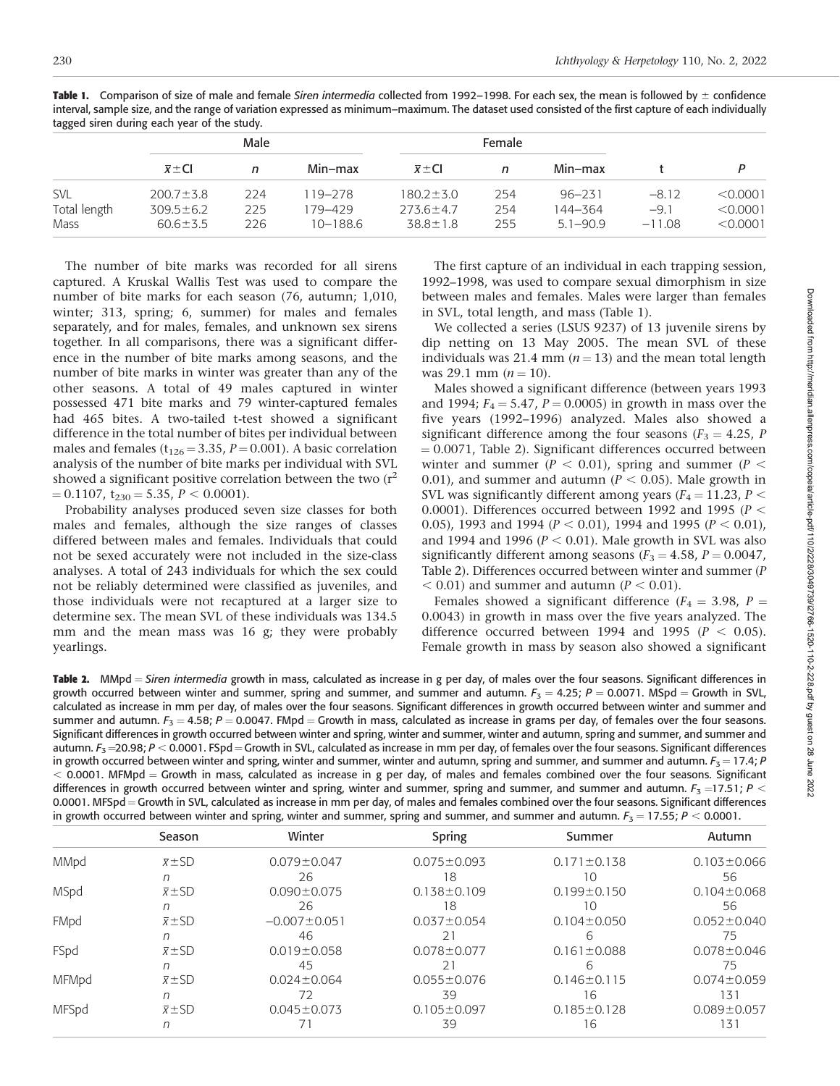| Male<br>Female                                                                         |          |          |
|----------------------------------------------------------------------------------------|----------|----------|
| $\overline{x}$ $\pm$ CI<br>Min-max<br>Min-max<br>$\overline{x}$ ± CI<br>n<br>n         |          |          |
| SVL<br>$200.7 \pm 3.8$<br>$180.2 \pm 3.0$<br>224<br>254<br>119–278<br>$96 - 231$       | $-8.12$  | < 0.0001 |
| Total length<br>254<br>$309.5 \pm 6.2$<br>225<br>179–429<br>$273.6 \pm 4.7$<br>144–364 | $-9.1$   | < 0.0001 |
| Mass<br>$38.8 \pm 1.8$<br>226<br>$10 - 188.6$<br>255<br>$60.6 \pm 3.5$<br>$5.1 - 90.9$ | $-11.08$ | < 0.0001 |

Table 1. Comparison of size of male and female Siren intermedia collected from 1992–1998. For each sex, the mean is followed by  $\pm$  confidence interval, sample size, and the range of variation expressed as minimum–maximum. The dataset used consisted of the first capture of each individually tagged siren during each year of the study.

The number of bite marks was recorded for all sirens captured. A Kruskal Wallis Test was used to compare the number of bite marks for each season (76, autumn; 1,010, winter; 313, spring; 6, summer) for males and females separately, and for males, females, and unknown sex sirens together. In all comparisons, there was a significant difference in the number of bite marks among seasons, and the number of bite marks in winter was greater than any of the other seasons. A total of 49 males captured in winter possessed 471 bite marks and 79 winter-captured females had 465 bites. A two-tailed t-test showed a significant difference in the total number of bites per individual between males and females ( $t_{126} = 3.35$ ,  $P = 0.001$ ). A basic correlation analysis of the number of bite marks per individual with SVL showed a significant positive correlation between the two  $(r^2)$  $= 0.1107$ , t<sub>230</sub>  $= 5.35$ ,  $P < 0.0001$ ).

Probability analyses produced seven size classes for both males and females, although the size ranges of classes differed between males and females. Individuals that could not be sexed accurately were not included in the size-class analyses. A total of 243 individuals for which the sex could not be reliably determined were classified as juveniles, and those individuals were not recaptured at a larger size to determine sex. The mean SVL of these individuals was 134.5 mm and the mean mass was 16 g; they were probably yearlings.

The first capture of an individual in each trapping session, 1992–1998, was used to compare sexual dimorphism in size between males and females. Males were larger than females in SVL, total length, and mass (Table 1).

We collected a series (LSUS 9237) of 13 juvenile sirens by dip netting on 13 May 2005. The mean SVL of these individuals was 21.4 mm ( $n = 13$ ) and the mean total length was 29.1 mm  $(n = 10)$ .

Males showed a significant difference (between years 1993 and 1994;  $F_4 = 5.47$ ,  $P = 0.0005$ ) in growth in mass over the five years (1992–1996) analyzed. Males also showed a significant difference among the four seasons ( $F_3 = 4.25$ , P  $= 0.0071$ , Table 2). Significant differences occurred between winter and summer ( $P < 0.01$ ), spring and summer ( $P <$ 0.01), and summer and autumn ( $P < 0.05$ ). Male growth in SVL was significantly different among years ( $F_4 = 11.23$ ,  $P <$ 0.0001). Differences occurred between 1992 and 1995 ( $P <$ 0.05), 1993 and 1994 ( $P < 0.01$ ), 1994 and 1995 ( $P < 0.01$ ), and 1994 and 1996 ( $P < 0.01$ ). Male growth in SVL was also significantly different among seasons ( $F_3 = 4.58$ ,  $P = 0.0047$ , Table 2). Differences occurred between winter and summer (P  $<$  0.01) and summer and autumn ( $P < 0.01$ ).

Females showed a significant difference ( $F_4 = 3.98$ ,  $P =$ 0.0043) in growth in mass over the five years analyzed. The difference occurred between 1994 and 1995 ( $P < 0.05$ ). Female growth in mass by season also showed a significant

Table 2. MMpd = Siren intermedia growth in mass, calculated as increase in g per day, of males over the four seasons. Significant differences in growth occurred between winter and summer, spring and summer, and summer and autumn.  $F_3 = 4.25$ ;  $P = 0.0071$ . MSpd = Growth in SVL, calculated as increase in mm per day, of males over the four seasons. Significant differences in growth occurred between winter and summer and summer and autumn.  $F_3 = 4.58$ ;  $P = 0.0047$ . FMpd = Growth in mass, calculated as increase in grams per day, of females over the four seasons. Significant differences in growth occurred between winter and spring, winter and summer, winter and autumn, spring and summer, and summer and autumn.  $F_3$  =20.98; P < 0.0001. FSpd = Growth in SVL, calculated as increase in mm per day, of females over the four seasons. Significant differences in growth occurred between winter and spring, winter and summer, winter and autumn, spring and summer, and summer and autumn.  $F_3 = 17.4$ ; P  $<$  0.0001. MFMpd  $=$  Growth in mass, calculated as increase in g per day, of males and females combined over the four seasons. Significant differences in growth occurred between winter and spring, winter and summer, spring and summer, and summer and autumn.  $F_3$  =17.51; P < 0.0001. MFSpd = Growth in SVL, calculated as increase in mm per day, of males and females combined over the four seasons. Significant differences in growth occurred between winter and spring, winter and summer, spring and summer, and summer and autumn.  $F_3 = 17.55$ ;  $P < 0.0001$ .

|       | Season                  | Winter             | <b>Spring</b>     | Summer            | Autumn            |
|-------|-------------------------|--------------------|-------------------|-------------------|-------------------|
| MMpd  | $\overline{x}$ $\pm$ SD | $0.079 \pm 0.047$  | $0.075 \pm 0.093$ | $0.171 \pm 0.138$ | $0.103 \pm 0.066$ |
|       |                         | 26                 | 18                | 10                | 56                |
| MSpd  | $\overline{x}$ $\pm$ SD | $0.090 \pm 0.075$  | $0.138 \pm 0.109$ | $0.199 \pm 0.150$ | $0.104 \pm 0.068$ |
|       |                         | 26                 | 18                | 10                | 56                |
| FMpd  | $\overline{x}$ $\pm$ SD | $-0.007 \pm 0.051$ | $0.037 \pm 0.054$ | $0.104 \pm 0.050$ | $0.052 \pm 0.040$ |
|       |                         | 46                 | 21                |                   | /5                |
| FSpd  | $\overline{x}$ $\pm$ SD | $0.019 \pm 0.058$  | $0.078 \pm 0.077$ | $0.161 \pm 0.088$ | $0.078 \pm 0.046$ |
|       |                         | 45                 |                   | h                 | 75                |
| MFMpd | $\overline{x}$ $\pm$ SD | $0.024 \pm 0.064$  | $0.055 \pm 0.076$ | $0.146 \pm 0.115$ | $0.074 \pm 0.059$ |
|       |                         |                    | 39                | 16                | 131               |
| MFSpd | $\overline{x}$ $\pm$ SD | $0.045 \pm 0.073$  | $0.105 \pm 0.097$ | $0.185 \pm 0.128$ | $0.089 \pm 0.057$ |
|       |                         |                    | 39                | 16                | 131               |
|       |                         |                    |                   |                   |                   |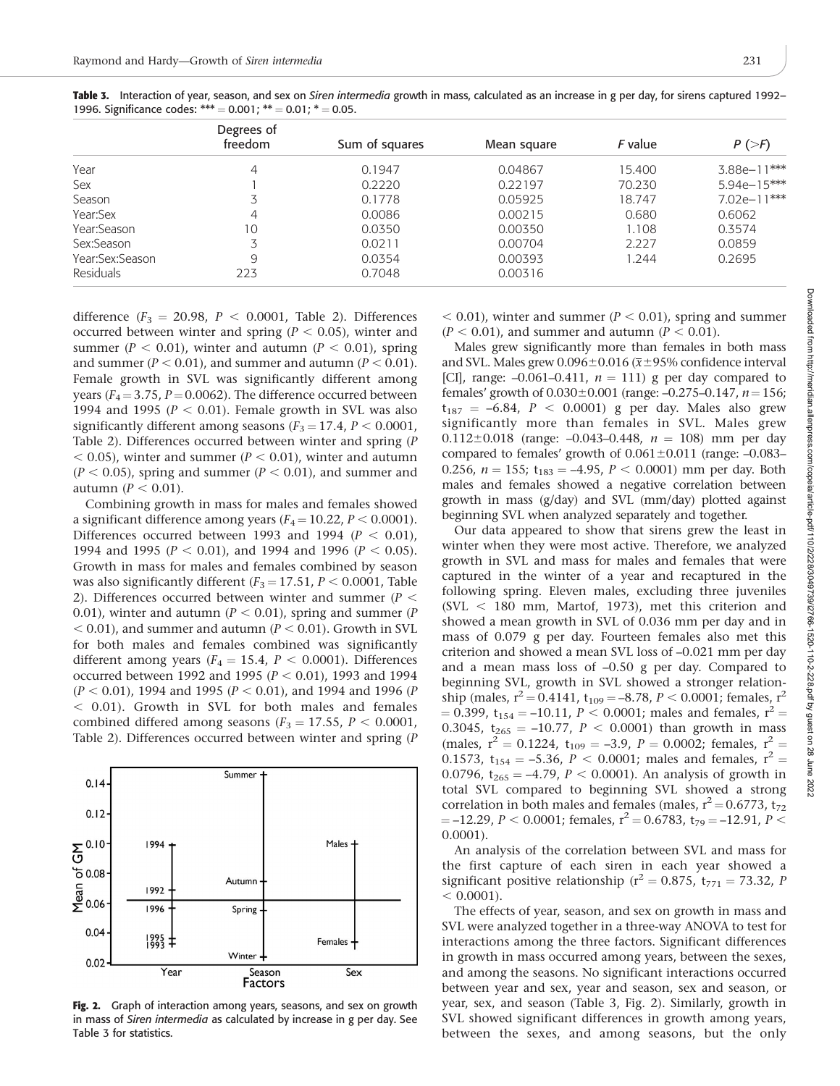|                  | Degrees of |                |             |         |                        |
|------------------|------------|----------------|-------------|---------|------------------------|
|                  | freedom    | Sum of squares | Mean square | F value | $P \left( > F \right)$ |
| Year             | 4          | 0.1947         | 0.04867     | 15.400  | 3.88e-11***            |
| Sex              |            | 0.2220         | 0.22197     | 70.230  | $5.94e-15***$          |
| Season           |            | 0.1778         | 0.05925     | 18.747  | 7.02e-11***            |
| Year:Sex         | 4          | 0.0086         | 0.00215     | 0.680   | 0.6062                 |
| Year:Season      | 10         | 0.0350         | 0.00350     | 1.108   | 0.3574                 |
| Sex:Season       |            | 0.0211         | 0.00704     | 2.227   | 0.0859                 |
| Year:Sex:Season  | 9          | 0.0354         | 0.00393     | 1.244   | 0.2695                 |
| <b>Residuals</b> | 223        | 0.7048         | 0.00316     |         |                        |

Table 3. Interaction of year, season, and sex on Siren intermedia growth in mass, calculated as an increase in g per day, for sirens captured 1992– 1996. Significance codes: \*\*\* =  $0.001$ ; \*\* =  $0.01$ ; \* =  $0.05$ .

difference ( $F_3 = 20.98$ ,  $P < 0.0001$ , Table 2). Differences occurred between winter and spring ( $P < 0.05$ ), winter and summer ( $P < 0.01$ ), winter and autumn ( $P < 0.01$ ), spring and summer ( $P < 0.01$ ), and summer and autumn ( $P < 0.01$ ). Female growth in SVL was significantly different among years ( $F_4$  = 3.75, P = 0.0062). The difference occurred between 1994 and 1995 ( $P < 0.01$ ). Female growth in SVL was also significantly different among seasons ( $F_3 = 17.4$ ,  $P < 0.0001$ , Table 2). Differences occurred between winter and spring (P  $<$  0.05), winter and summer ( $P$   $<$  0.01), winter and autumn  $(P < 0.05)$ , spring and summer  $(P < 0.01)$ , and summer and autumn ( $P < 0.01$ ).

Combining growth in mass for males and females showed a significant difference among years ( $F_4 = 10.22$ ,  $P < 0.0001$ ). Differences occurred between 1993 and 1994 ( $P < 0.01$ ), 1994 and 1995 ( $P < 0.01$ ), and 1994 and 1996 ( $P < 0.05$ ). Growth in mass for males and females combined by season was also significantly different ( $F_3 = 17.51$ ,  $P < 0.0001$ , Table 2). Differences occurred between winter and summer ( $P <$ 0.01), winter and autumn ( $P < 0.01$ ), spring and summer (P  $<$  0.01), and summer and autumn ( $P$   $<$  0.01). Growth in SVL for both males and females combined was significantly different among years ( $F_4 = 15.4$ ,  $P < 0.0001$ ). Differences occurred between 1992 and 1995 ( $P < 0.01$ ), 1993 and 1994  $(P < 0.01)$ , 1994 and 1995  $(P < 0.01)$ , and 1994 and 1996  $(P$  $<$  0.01). Growth in SVL for both males and females combined differed among seasons ( $F_3 = 17.55$ ,  $P < 0.0001$ , Table 2). Differences occurred between winter and spring (P



Fig. 2. Graph of interaction among years, seasons, and sex on growth in mass of Siren intermedia as calculated by increase in g per day. See Table 3 for statistics.

 $<$  0.01), winter and summer ( $P$   $<$  0.01), spring and summer  $(P < 0.01)$ , and summer and autumn  $(P < 0.01)$ .

Males grew significantly more than females in both mass and SVL. Males grew  $0.096\pm0.016$  ( $\overline{x}$ ±95% confidence interval [CI], range:  $-0.061-0.411$ ,  $n = 111$ ) g per day compared to females' growth of  $0.030\pm0.001$  (range:  $-0.275-0.147$ ,  $n=156$ ;  $t_{187} = -6.84$ ,  $P < 0.0001$ ) g per day. Males also grew significantly more than females in SVL. Males grew 0.112 $\pm$ 0.018 (range: -0.043-0.448,  $n = 108$ ) mm per day compared to females' growth of  $0.061\pm0.011$  (range:  $-0.083-$ 0.256,  $n = 155$ ;  $t_{183} = -4.95$ ,  $P < 0.0001$ ) mm per day. Both males and females showed a negative correlation between growth in mass (g/day) and SVL (mm/day) plotted against beginning SVL when analyzed separately and together.

Our data appeared to show that sirens grew the least in winter when they were most active. Therefore, we analyzed growth in SVL and mass for males and females that were captured in the winter of a year and recaptured in the following spring. Eleven males, excluding three juveniles  $(SVL < 180$  mm, Martof, 1973), met this criterion and showed a mean growth in SVL of 0.036 mm per day and in mass of 0.079 g per day. Fourteen females also met this criterion and showed a mean SVL loss of –0.021 mm per day and a mean mass loss of –0.50 g per day. Compared to beginning SVL, growth in SVL showed a stronger relationship (males,  $r^2 = 0.4141$ ,  $t_{109} = -8.78$ ,  $P < 0.0001$ ; females,  $r^2$  $\mu = 0.399$ , t<sub>154</sub> = -10.11,  $P < 0.0001$ ; males and females,  $r^2 =$ 0.3045,  $t_{265} = -10.77$ ,  $P < 0.0001$ ) than growth in mass (males,  $r^2 = 0.1224$ ,  $t_{109} = -3.9$ ,  $P = 0.0002$ ; females,  $r^2 =$ 0.1573,  $t_{154} = -5.36$ ,  $P < 0.0001$ ; males and females,  $r^2 =$ 0.0796,  $t_{265} = -4.79$ ,  $P < 0.0001$ ). An analysis of growth in total SVL compared to beginning SVL showed a strong correlation in both males and females (males,  $r^2$  = 0.6773, t<sub>72</sub>  $=-12.29, P < 0.0001$ ; females,  $r^2 = 0.6783, t_{79} = -12.91, P <$ 0.0001).

An analysis of the correlation between SVL and mass for the first capture of each siren in each year showed a significant positive relationship ( $r^2 = 0.875$ ,  $t_{771} = 73.32$ , P  $< 0.0001$ ).

The effects of year, season, and sex on growth in mass and SVL were analyzed together in a three-way ANOVA to test for interactions among the three factors. Significant differences in growth in mass occurred among years, between the sexes, and among the seasons. No significant interactions occurred between year and sex, year and season, sex and season, or year, sex, and season (Table 3, Fig. 2). Similarly, growth in SVL showed significant differences in growth among years, between the sexes, and among seasons, but the only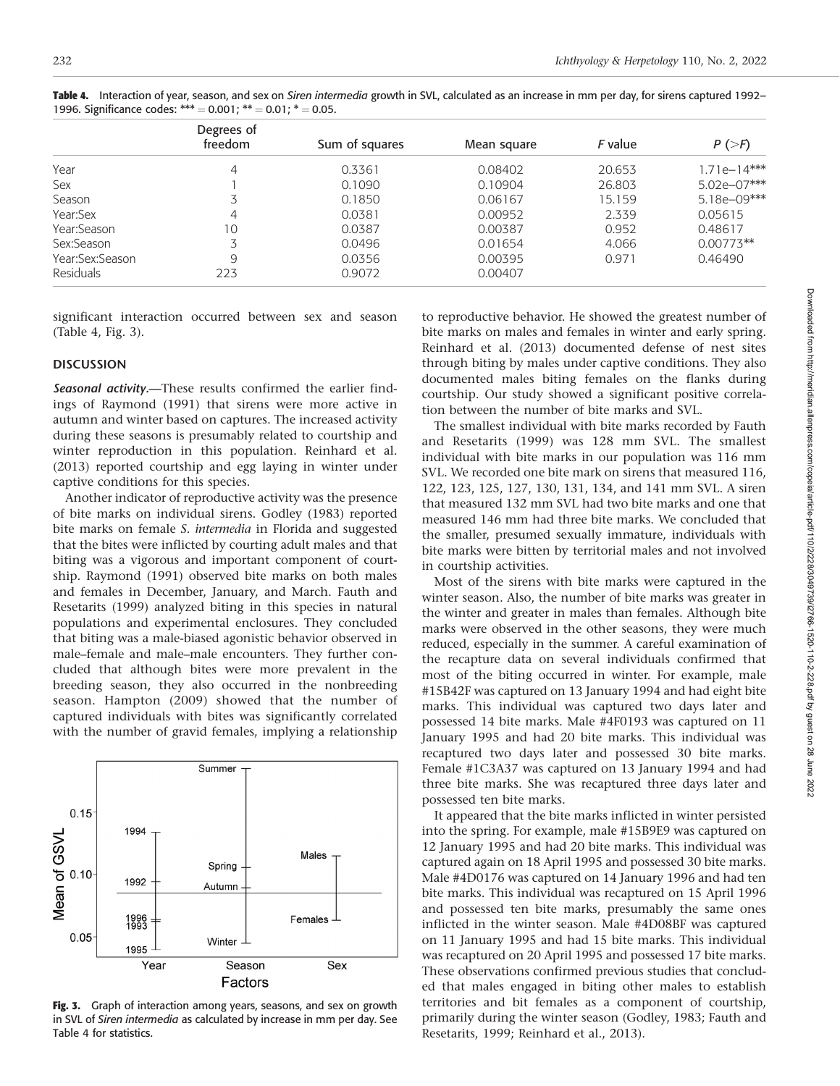|                  | Degrees of<br>freedom | Sum of squares | Mean square | F value | $P \left( > F \right)$ |
|------------------|-----------------------|----------------|-------------|---------|------------------------|
| Year             | $\overline{4}$        | 0.3361         | 0.08402     | 20.653  | $1.71e-14***$          |
| Sex              |                       | 0.1090         | 0.10904     | 26.803  | 5.02e-07***            |
| Season           | 3                     | 0.1850         | 0.06167     | 15.159  | 5.18e-09***            |
| Year:Sex         | 4                     | 0.0381         | 0.00952     | 2.339   | 0.05615                |
| Year:Season      | 10                    | 0.0387         | 0.00387     | 0.952   | 0.48617                |
| Sex:Season       |                       | 0.0496         | 0.01654     | 4.066   | $0.00773**$            |
| Year:Sex:Season  | 9                     | 0.0356         | 0.00395     | 0.971   | 0.46490                |
| <b>Residuals</b> | 223                   | 0.9072         | 0.00407     |         |                        |

Table 4. Interaction of year, season, and sex on Siren intermedia growth in SVL, calculated as an increase in mm per day, for sirens captured 1992– 1996. Significance codes: \*\*\* =  $0.001$ ; \*\* =  $0.01$ ; \* =  $0.05$ .

significant interaction occurred between sex and season (Table 4, Fig. 3).

### **DISCUSSION**

Seasonal activity.-These results confirmed the earlier findings of Raymond (1991) that sirens were more active in autumn and winter based on captures. The increased activity during these seasons is presumably related to courtship and winter reproduction in this population. Reinhard et al. (2013) reported courtship and egg laying in winter under captive conditions for this species.

Another indicator of reproductive activity was the presence of bite marks on individual sirens. Godley (1983) reported bite marks on female S. intermedia in Florida and suggested that the bites were inflicted by courting adult males and that biting was a vigorous and important component of courtship. Raymond (1991) observed bite marks on both males and females in December, January, and March. Fauth and Resetarits (1999) analyzed biting in this species in natural populations and experimental enclosures. They concluded that biting was a male-biased agonistic behavior observed in male–female and male–male encounters. They further concluded that although bites were more prevalent in the breeding season, they also occurred in the nonbreeding season. Hampton (2009) showed that the number of captured individuals with bites was significantly correlated with the number of gravid females, implying a relationship



Fig. 3. Graph of interaction among years, seasons, and sex on growth in SVL of Siren intermedia as calculated by increase in mm per day. See Table 4 for statistics.

to reproductive behavior. He showed the greatest number of bite marks on males and females in winter and early spring. Reinhard et al. (2013) documented defense of nest sites through biting by males under captive conditions. They also documented males biting females on the flanks during courtship. Our study showed a significant positive correlation between the number of bite marks and SVL.

The smallest individual with bite marks recorded by Fauth and Resetarits (1999) was 128 mm SVL. The smallest individual with bite marks in our population was 116 mm SVL. We recorded one bite mark on sirens that measured 116, 122, 123, 125, 127, 130, 131, 134, and 141 mm SVL. A siren that measured 132 mm SVL had two bite marks and one that measured 146 mm had three bite marks. We concluded that the smaller, presumed sexually immature, individuals with bite marks were bitten by territorial males and not involved in courtship activities.

Most of the sirens with bite marks were captured in the winter season. Also, the number of bite marks was greater in the winter and greater in males than females. Although bite marks were observed in the other seasons, they were much reduced, especially in the summer. A careful examination of the recapture data on several individuals confirmed that most of the biting occurred in winter. For example, male #15B42F was captured on 13 January 1994 and had eight bite marks. This individual was captured two days later and possessed 14 bite marks. Male #4F0193 was captured on 11 January 1995 and had 20 bite marks. This individual was recaptured two days later and possessed 30 bite marks. Female #1C3A37 was captured on 13 January 1994 and had three bite marks. She was recaptured three days later and possessed ten bite marks.

It appeared that the bite marks inflicted in winter persisted into the spring. For example, male #15B9E9 was captured on 12 January 1995 and had 20 bite marks. This individual was captured again on 18 April 1995 and possessed 30 bite marks. Male #4D0176 was captured on 14 January 1996 and had ten bite marks. This individual was recaptured on 15 April 1996 and possessed ten bite marks, presumably the same ones inflicted in the winter season. Male #4D08BF was captured on 11 January 1995 and had 15 bite marks. This individual was recaptured on 20 April 1995 and possessed 17 bite marks. These observations confirmed previous studies that concluded that males engaged in biting other males to establish territories and bit females as a component of courtship, primarily during the winter season (Godley, 1983; Fauth and Resetarits, 1999; Reinhard et al., 2013).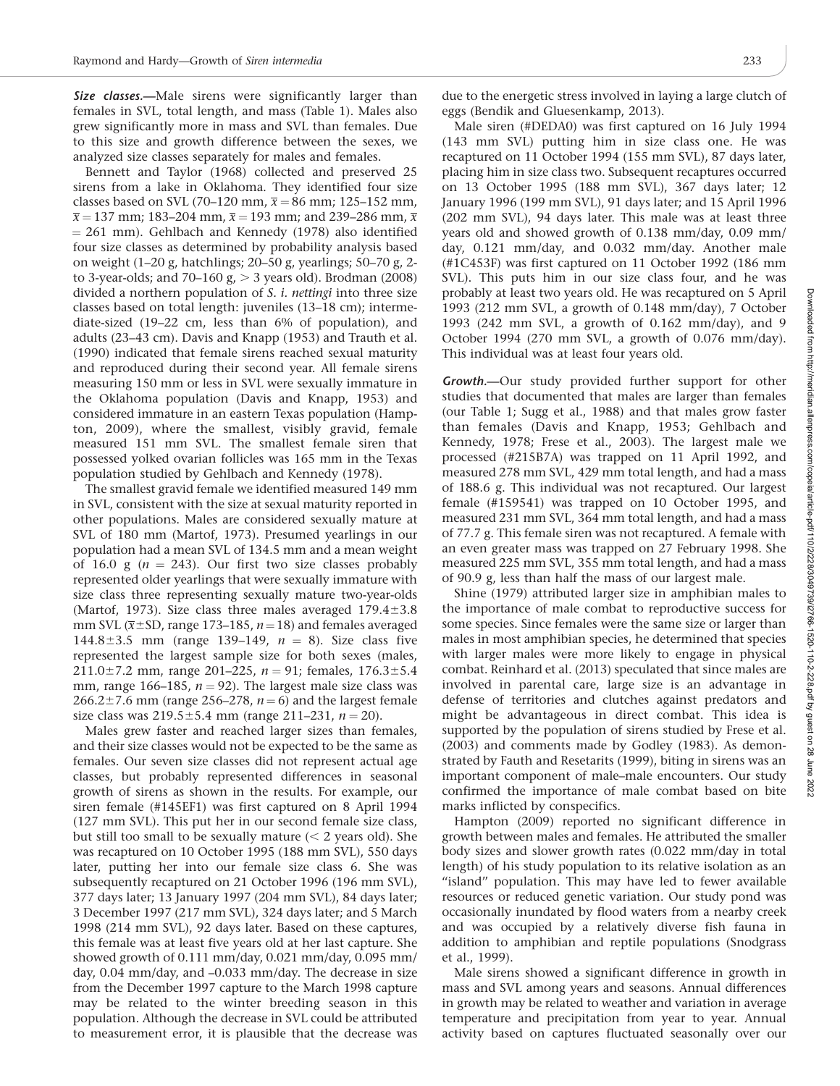Size classes.—Male sirens were significantly larger than females in SVL, total length, and mass (Table 1). Males also grew significantly more in mass and SVL than females. Due to this size and growth difference between the sexes, we analyzed size classes separately for males and females.

Bennett and Taylor (1968) collected and preserved 25 sirens from a lake in Oklahoma. They identified four size classes based on SVL (70–120 mm,  $\bar{x} = 86$  mm; 125–152 mm,  $\bar{x}$  = 137 mm; 183–204 mm,  $\bar{x}$  = 193 mm; and 239–286 mm,  $\bar{x}$  $= 261$  mm). Gehlbach and Kennedy (1978) also identified four size classes as determined by probability analysis based on weight (1–20 g, hatchlings; 20–50 g, yearlings; 50–70 g, 2 to 3-year-olds; and 70–160  $g<sub>i</sub> > 3$  years old). Brodman (2008) divided a northern population of S. *i. nettingi* into three size classes based on total length: juveniles (13–18 cm); intermediate-sized (19–22 cm, less than 6% of population), and adults (23–43 cm). Davis and Knapp (1953) and Trauth et al. (1990) indicated that female sirens reached sexual maturity and reproduced during their second year. All female sirens measuring 150 mm or less in SVL were sexually immature in the Oklahoma population (Davis and Knapp, 1953) and considered immature in an eastern Texas population (Hampton, 2009), where the smallest, visibly gravid, female measured 151 mm SVL. The smallest female siren that possessed yolked ovarian follicles was 165 mm in the Texas population studied by Gehlbach and Kennedy (1978).

The smallest gravid female we identified measured 149 mm in SVL, consistent with the size at sexual maturity reported in other populations. Males are considered sexually mature at SVL of 180 mm (Martof, 1973). Presumed yearlings in our population had a mean SVL of 134.5 mm and a mean weight of 16.0 g ( $n = 243$ ). Our first two size classes probably represented older yearlings that were sexually immature with size class three representing sexually mature two-year-olds (Martof, 1973). Size class three males averaged  $179.4\pm3.8$ mm SVL ( $\bar{x}$ ±SD, range 173–185, n = 18) and females averaged 144.8 $\pm$ 3.5 mm (range 139–149,  $n = 8$ ). Size class five represented the largest sample size for both sexes (males, 211.0±7.2 mm, range 201-225,  $n = 91$ ; females, 176.3±5.4 mm, range 166–185,  $n = 92$ ). The largest male size class was 266.2 $\pm$ 7.6 mm (range 256–278,  $n = 6$ ) and the largest female size class was  $219.5 \pm 5.4$  mm (range 211–231,  $n = 20$ ).

Males grew faster and reached larger sizes than females, and their size classes would not be expected to be the same as females. Our seven size classes did not represent actual age classes, but probably represented differences in seasonal growth of sirens as shown in the results. For example, our siren female (#145EF1) was first captured on 8 April 1994 (127 mm SVL). This put her in our second female size class, but still too small to be sexually mature  $(< 2$  years old). She was recaptured on 10 October 1995 (188 mm SVL), 550 days later, putting her into our female size class 6. She was subsequently recaptured on 21 October 1996 (196 mm SVL), 377 days later; 13 January 1997 (204 mm SVL), 84 days later; 3 December 1997 (217 mm SVL), 324 days later; and 5 March 1998 (214 mm SVL), 92 days later. Based on these captures, this female was at least five years old at her last capture. She showed growth of 0.111 mm/day, 0.021 mm/day, 0.095 mm/ day, 0.04 mm/day, and –0.033 mm/day. The decrease in size from the December 1997 capture to the March 1998 capture may be related to the winter breeding season in this population. Although the decrease in SVL could be attributed to measurement error, it is plausible that the decrease was due to the energetic stress involved in laying a large clutch of eggs (Bendik and Gluesenkamp, 2013).

Male siren (#DEDA0) was first captured on 16 July 1994 (143 mm SVL) putting him in size class one. He was recaptured on 11 October 1994 (155 mm SVL), 87 days later, placing him in size class two. Subsequent recaptures occurred on 13 October 1995 (188 mm SVL), 367 days later; 12 January 1996 (199 mm SVL), 91 days later; and 15 April 1996 (202 mm SVL), 94 days later. This male was at least three years old and showed growth of 0.138 mm/day, 0.09 mm/ day, 0.121 mm/day, and 0.032 mm/day. Another male (#1C453F) was first captured on 11 October 1992 (186 mm SVL). This puts him in our size class four, and he was probably at least two years old. He was recaptured on 5 April 1993 (212 mm SVL, a growth of 0.148 mm/day), 7 October 1993 (242 mm SVL, a growth of 0.162 mm/day), and 9 October 1994 (270 mm SVL, a growth of 0.076 mm/day). This individual was at least four years old.

Growth.—Our study provided further support for other studies that documented that males are larger than females (our Table 1; Sugg et al., 1988) and that males grow faster than females (Davis and Knapp, 1953; Gehlbach and Kennedy, 1978; Frese et al., 2003). The largest male we processed (#215B7A) was trapped on 11 April 1992, and measured 278 mm SVL, 429 mm total length, and had a mass of 188.6 g. This individual was not recaptured. Our largest female (#159541) was trapped on 10 October 1995, and measured 231 mm SVL, 364 mm total length, and had a mass of 77.7 g. This female siren was not recaptured. A female with an even greater mass was trapped on 27 February 1998. She measured 225 mm SVL, 355 mm total length, and had a mass of 90.9 g, less than half the mass of our largest male.

Shine (1979) attributed larger size in amphibian males to the importance of male combat to reproductive success for some species. Since females were the same size or larger than males in most amphibian species, he determined that species with larger males were more likely to engage in physical combat. Reinhard et al. (2013) speculated that since males are involved in parental care, large size is an advantage in defense of territories and clutches against predators and might be advantageous in direct combat. This idea is supported by the population of sirens studied by Frese et al. (2003) and comments made by Godley (1983). As demonstrated by Fauth and Resetarits (1999), biting in sirens was an important component of male–male encounters. Our study confirmed the importance of male combat based on bite marks inflicted by conspecifics.

Hampton (2009) reported no significant difference in growth between males and females. He attributed the smaller body sizes and slower growth rates (0.022 mm/day in total length) of his study population to its relative isolation as an ''island'' population. This may have led to fewer available resources or reduced genetic variation. Our study pond was occasionally inundated by flood waters from a nearby creek and was occupied by a relatively diverse fish fauna in addition to amphibian and reptile populations (Snodgrass et al., 1999).

Male sirens showed a significant difference in growth in mass and SVL among years and seasons. Annual differences in growth may be related to weather and variation in average temperature and precipitation from year to year. Annual activity based on captures fluctuated seasonally over our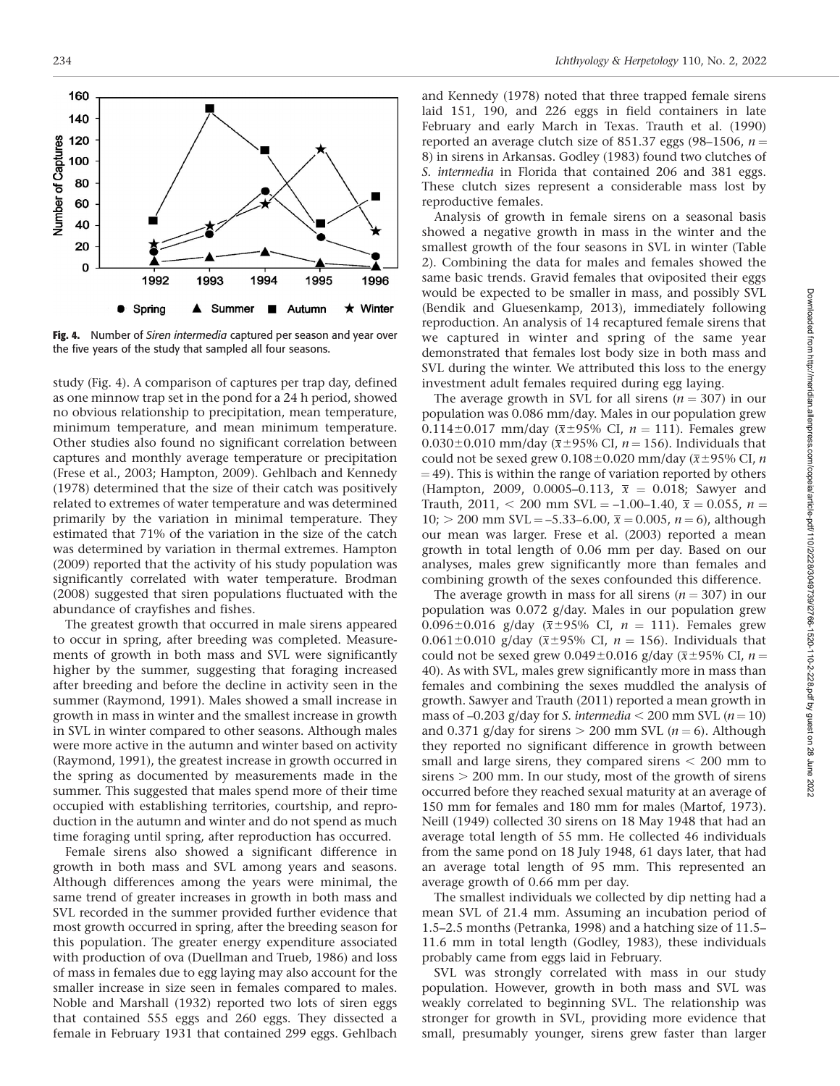

Fig. 4. Number of Siren intermedia captured per season and year over the five years of the study that sampled all four seasons.

study (Fig. 4). A comparison of captures per trap day, defined as one minnow trap set in the pond for a 24 h period, showed no obvious relationship to precipitation, mean temperature, minimum temperature, and mean minimum temperature. Other studies also found no significant correlation between captures and monthly average temperature or precipitation (Frese et al., 2003; Hampton, 2009). Gehlbach and Kennedy (1978) determined that the size of their catch was positively related to extremes of water temperature and was determined primarily by the variation in minimal temperature. They estimated that 71% of the variation in the size of the catch was determined by variation in thermal extremes. Hampton (2009) reported that the activity of his study population was significantly correlated with water temperature. Brodman (2008) suggested that siren populations fluctuated with the abundance of crayfishes and fishes.

The greatest growth that occurred in male sirens appeared to occur in spring, after breeding was completed. Measurements of growth in both mass and SVL were significantly higher by the summer, suggesting that foraging increased after breeding and before the decline in activity seen in the summer (Raymond, 1991). Males showed a small increase in growth in mass in winter and the smallest increase in growth in SVL in winter compared to other seasons. Although males were more active in the autumn and winter based on activity (Raymond, 1991), the greatest increase in growth occurred in the spring as documented by measurements made in the summer. This suggested that males spend more of their time occupied with establishing territories, courtship, and reproduction in the autumn and winter and do not spend as much time foraging until spring, after reproduction has occurred.

Female sirens also showed a significant difference in growth in both mass and SVL among years and seasons. Although differences among the years were minimal, the same trend of greater increases in growth in both mass and SVL recorded in the summer provided further evidence that most growth occurred in spring, after the breeding season for this population. The greater energy expenditure associated with production of ova (Duellman and Trueb, 1986) and loss of mass in females due to egg laying may also account for the smaller increase in size seen in females compared to males. Noble and Marshall (1932) reported two lots of siren eggs that contained 555 eggs and 260 eggs. They dissected a female in February 1931 that contained 299 eggs. Gehlbach

and Kennedy (1978) noted that three trapped female sirens laid 151, 190, and 226 eggs in field containers in late February and early March in Texas. Trauth et al. (1990) reported an average clutch size of 851.37 eggs (98–1506,  $n =$ 8) in sirens in Arkansas. Godley (1983) found two clutches of S. intermedia in Florida that contained 206 and 381 eggs. These clutch sizes represent a considerable mass lost by reproductive females.

Analysis of growth in female sirens on a seasonal basis showed a negative growth in mass in the winter and the smallest growth of the four seasons in SVL in winter (Table 2). Combining the data for males and females showed the same basic trends. Gravid females that oviposited their eggs would be expected to be smaller in mass, and possibly SVL (Bendik and Gluesenkamp, 2013), immediately following reproduction. An analysis of 14 recaptured female sirens that we captured in winter and spring of the same year demonstrated that females lost body size in both mass and SVL during the winter. We attributed this loss to the energy investment adult females required during egg laying.

The average growth in SVL for all sirens ( $n = 307$ ) in our population was 0.086 mm/day. Males in our population grew 0.114±0.017 mm/day ( $\bar{x}$ ±95% CI, n = 111). Females grew 0.030±0.010 mm/day ( $\bar{x}$ ±95% CI, n = 156). Individuals that could not be sexed grew  $0.108\pm0.020$  mm/day ( $\overline{x}$ ±95% CI, *n*  $=$  49). This is within the range of variation reported by others (Hampton, 2009, 0.0005–0.113,  $\bar{x} = 0.018$ ; Sawyer and Trauth, 2011, < 200 mm SVL = -1.00-1.40,  $\bar{x}$  = 0.055, n =  $10$ ;  $>$  200 mm SVL = -5.33-6.00,  $\bar{x}$  = 0.005, n = 6), although our mean was larger. Frese et al. (2003) reported a mean growth in total length of 0.06 mm per day. Based on our analyses, males grew significantly more than females and combining growth of the sexes confounded this difference.

The average growth in mass for all sirens ( $n = 307$ ) in our population was 0.072 g/day. Males in our population grew 0.096 $\pm$ 0.016 g/day ( $\bar{x}$  $\pm$ 95% CI,  $n = 111$ ). Females grew 0.061 $\pm$ 0.010 g/day ( $\overline{x}$ ±95% CI, n = 156). Individuals that could not be sexed grew 0.049 $\pm$ 0.016 g/day ( $\overline{x}$  $\pm$ 95% CI, n = 40). As with SVL, males grew significantly more in mass than females and combining the sexes muddled the analysis of growth. Sawyer and Trauth (2011) reported a mean growth in mass of  $-0.203$  g/day for S. intermedia  $<$  200 mm SVL (n = 10) and 0.371 g/day for sirens  $> 200$  mm SVL ( $n = 6$ ). Although they reported no significant difference in growth between small and large sirens, they compared sirens  $<$  200 mm to  $sirens > 200$  mm. In our study, most of the growth of sirens occurred before they reached sexual maturity at an average of 150 mm for females and 180 mm for males (Martof, 1973). Neill (1949) collected 30 sirens on 18 May 1948 that had an average total length of 55 mm. He collected 46 individuals from the same pond on 18 July 1948, 61 days later, that had an average total length of 95 mm. This represented an average growth of 0.66 mm per day.

The smallest individuals we collected by dip netting had a mean SVL of 21.4 mm. Assuming an incubation period of 1.5–2.5 months (Petranka, 1998) and a hatching size of 11.5– 11.6 mm in total length (Godley, 1983), these individuals probably came from eggs laid in February.

SVL was strongly correlated with mass in our study population. However, growth in both mass and SVL was weakly correlated to beginning SVL. The relationship was stronger for growth in SVL, providing more evidence that small, presumably younger, sirens grew faster than larger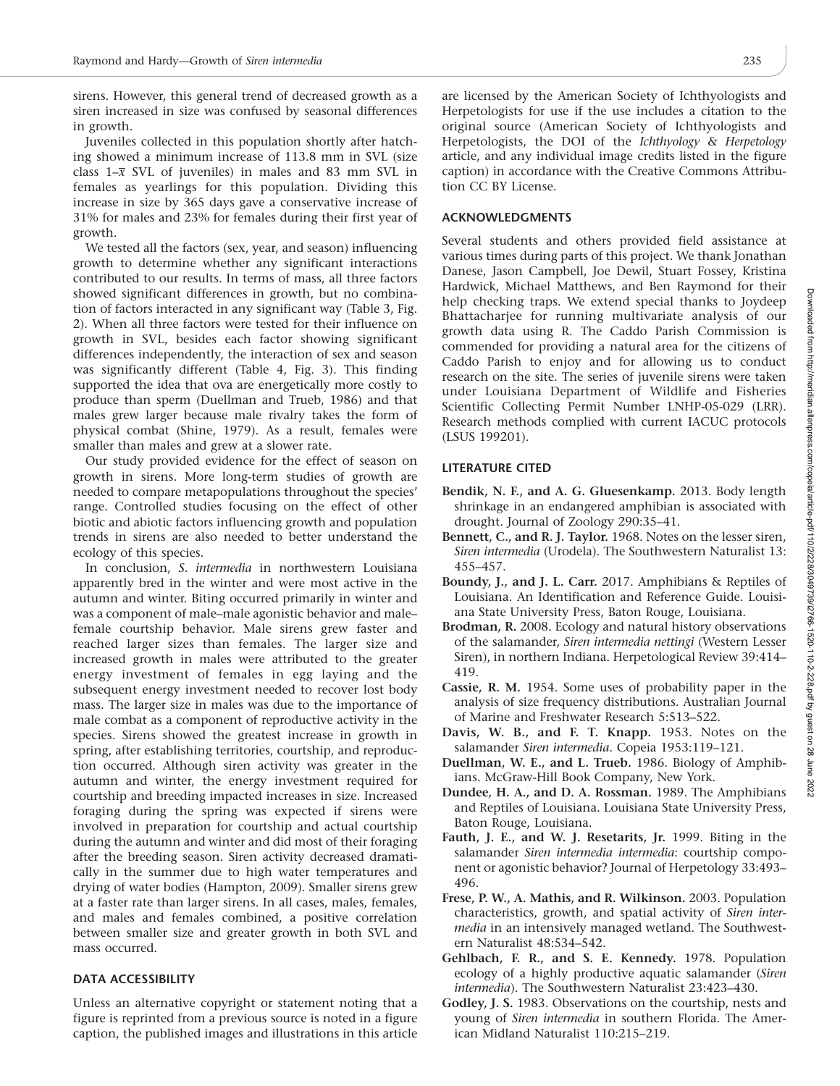sirens. However, this general trend of decreased growth as a siren increased in size was confused by seasonal differences in growth.

Juveniles collected in this population shortly after hatching showed a minimum increase of 113.8 mm in SVL (size class  $1-\overline{x}$  SVL of juveniles) in males and 83 mm SVL in females as yearlings for this population. Dividing this increase in size by 365 days gave a conservative increase of 31% for males and 23% for females during their first year of growth.

We tested all the factors (sex, year, and season) influencing growth to determine whether any significant interactions contributed to our results. In terms of mass, all three factors showed significant differences in growth, but no combination of factors interacted in any significant way (Table 3, Fig. 2). When all three factors were tested for their influence on growth in SVL, besides each factor showing significant differences independently, the interaction of sex and season was significantly different (Table 4, Fig. 3). This finding supported the idea that ova are energetically more costly to produce than sperm (Duellman and Trueb, 1986) and that males grew larger because male rivalry takes the form of physical combat (Shine, 1979). As a result, females were smaller than males and grew at a slower rate.

Our study provided evidence for the effect of season on growth in sirens. More long-term studies of growth are needed to compare metapopulations throughout the species' range. Controlled studies focusing on the effect of other biotic and abiotic factors influencing growth and population trends in sirens are also needed to better understand the ecology of this species.

In conclusion, S. intermedia in northwestern Louisiana apparently bred in the winter and were most active in the autumn and winter. Biting occurred primarily in winter and was a component of male–male agonistic behavior and male– female courtship behavior. Male sirens grew faster and reached larger sizes than females. The larger size and increased growth in males were attributed to the greater energy investment of females in egg laying and the subsequent energy investment needed to recover lost body mass. The larger size in males was due to the importance of male combat as a component of reproductive activity in the species. Sirens showed the greatest increase in growth in spring, after establishing territories, courtship, and reproduction occurred. Although siren activity was greater in the autumn and winter, the energy investment required for courtship and breeding impacted increases in size. Increased foraging during the spring was expected if sirens were involved in preparation for courtship and actual courtship during the autumn and winter and did most of their foraging after the breeding season. Siren activity decreased dramatically in the summer due to high water temperatures and drying of water bodies (Hampton, 2009). Smaller sirens grew at a faster rate than larger sirens. In all cases, males, females, and males and females combined, a positive correlation between smaller size and greater growth in both SVL and mass occurred.

#### DATA ACCESSIBILITY

Unless an alternative copyright or statement noting that a figure is reprinted from a previous source is noted in a figure caption, the published images and illustrations in this article are licensed by the American Society of Ichthyologists and Herpetologists for use if the use includes a citation to the original source (American Society of Ichthyologists and Herpetologists, the DOI of the Ichthyology & Herpetology article, and any individual image credits listed in the figure caption) in accordance with the Creative Commons Attribution CC BY License.

#### ACKNOWLEDGMENTS

Several students and others provided field assistance at various times during parts of this project. We thank Jonathan Danese, Jason Campbell, Joe Dewil, Stuart Fossey, Kristina Hardwick, Michael Matthews, and Ben Raymond for their help checking traps. We extend special thanks to Joydeep Bhattacharjee for running multivariate analysis of our growth data using R. The Caddo Parish Commission is commended for providing a natural area for the citizens of Caddo Parish to enjoy and for allowing us to conduct research on the site. The series of juvenile sirens were taken under Louisiana Department of Wildlife and Fisheries Scientific Collecting Permit Number LNHP-05-029 (LRR). Research methods complied with current IACUC protocols (LSUS 199201).

## LITERATURE CITED

- Bendik, N. F., and A. G. Gluesenkamp. 2013. Body length shrinkage in an endangered amphibian is associated with drought. Journal of Zoology 290:35–41.
- Bennett, C., and R. J. Taylor. 1968. Notes on the lesser siren, Siren intermedia (Urodela). The Southwestern Naturalist 13: 455–457.
- Boundy, J., and J. L. Carr. 2017. Amphibians & Reptiles of Louisiana. An Identification and Reference Guide. Louisiana State University Press, Baton Rouge, Louisiana.
- Brodman, R. 2008. Ecology and natural history observations of the salamander, Siren intermedia nettingi (Western Lesser Siren), in northern Indiana. Herpetological Review 39:414– 419.
- Cassie, R. M. 1954. Some uses of probability paper in the analysis of size frequency distributions. Australian Journal of Marine and Freshwater Research 5:513–522.
- Davis, W. B., and F. T. Knapp. 1953. Notes on the salamander Siren intermedia. Copeia 1953:119–121.
- Duellman, W. E., and L. Trueb. 1986. Biology of Amphibians. McGraw-Hill Book Company, New York.
- Dundee, H. A., and D. A. Rossman. 1989. The Amphibians and Reptiles of Louisiana. Louisiana State University Press, Baton Rouge, Louisiana.
- Fauth, J. E., and W. J. Resetarits, Jr. 1999. Biting in the salamander Siren intermedia intermedia: courtship component or agonistic behavior? Journal of Herpetology 33:493– 496.
- Frese, P. W., A. Mathis, and R. Wilkinson. 2003. Population characteristics, growth, and spatial activity of Siren intermedia in an intensively managed wetland. The Southwestern Naturalist 48:534–542.
- Gehlbach, F. R., and S. E. Kennedy. 1978. Population ecology of a highly productive aquatic salamander (Siren intermedia). The Southwestern Naturalist 23:423–430.
- Godley, J. S. 1983. Observations on the courtship, nests and young of Siren intermedia in southern Florida. The American Midland Naturalist 110:215–219.